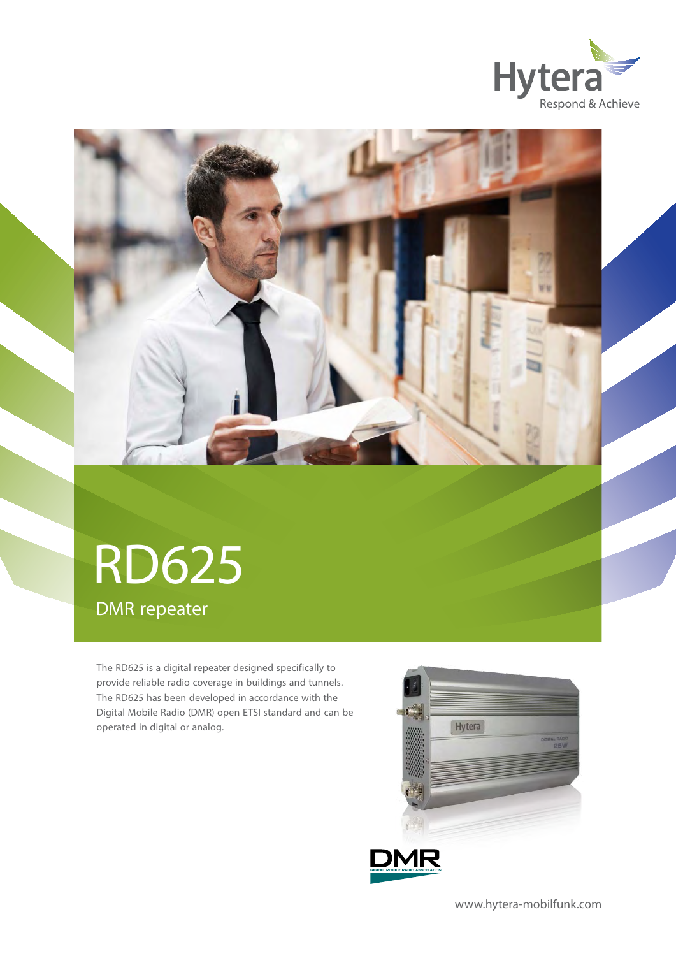



# RD625 DMR repeater

The RD625 is a digital repeater designed specifically to provide reliable radio coverage in buildings and tunnels. The RD625 has been developed in accordance with the Digital Mobile Radio (DMR) open ETSI standard and can be operated in digital or analog.





www.hytera-mobilfunk.com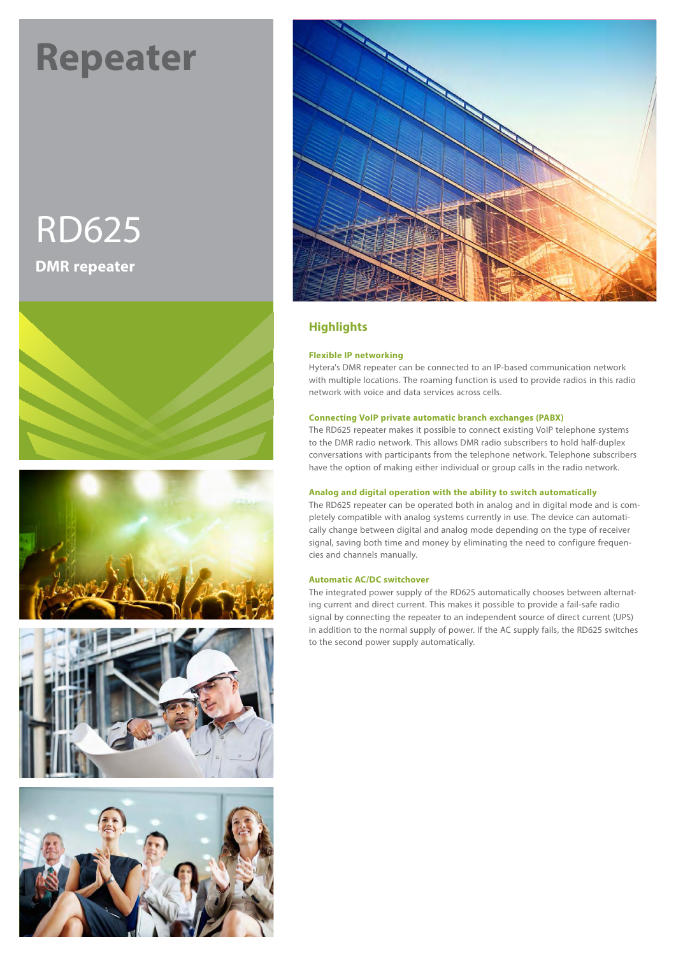# **Repeater Repeater**

# RD625 **DMR repeater**











# **Highlights**

#### **Flexible IP networking**

Hytera's DMR repeater can be connected to an IP-based communication network with multiple locations. The roaming function is used to provide radios in this radio network with voice and data services across cells.

#### **Connecting VoIP private automatic branch exchanges (PABX)**

The RD625 repeater makes it possible to connect existing VoIP telephone systems to the DMR radio network. This allows DMR radio subscribers to hold half-duplex conversations with participants from the telephone network. Telephone subscribers have the option of making either individual or group calls in the radio network.

#### **Analog and digital operation with the ability to switch automatically**

The RD625 repeater can be operated both in analog and in digital mode and is completely compatible with analog systems currently in use. The device can automatically change between digital and analog mode depending on the type of receiver signal, saving both time and money by eliminating the need to configure frequencies and channels manually.

#### **Automatic AC/DC switchover**

The integrated power supply of the RD625 automatically chooses between alternating current and direct current. This makes it possible to provide a fail-safe radio signal by connecting the repeater to an independent source of direct current (UPS) in addition to the normal supply of power. If the AC supply fails, the RD625 switches to the second power supply automatically.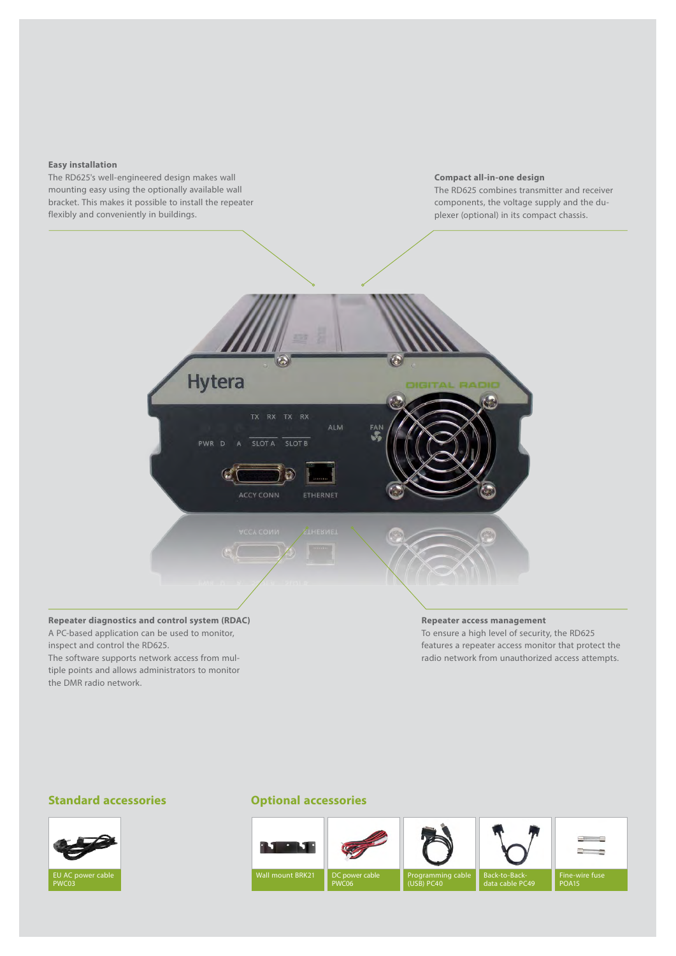#### **Easy installation**



#### **Repeater diagnostics and control system (RDAC)** A PC-based application can be used to monitor, inspect and control the RD625.

The software supports network access from multiple points and allows administrators to monitor the DMR radio network.

#### **Repeater access management**

To ensure a high level of security, the RD625 features a repeater access monitor that protect the radio network from unauthorized access attempts.

#### **Standard accessories**



### **Optional accessories**